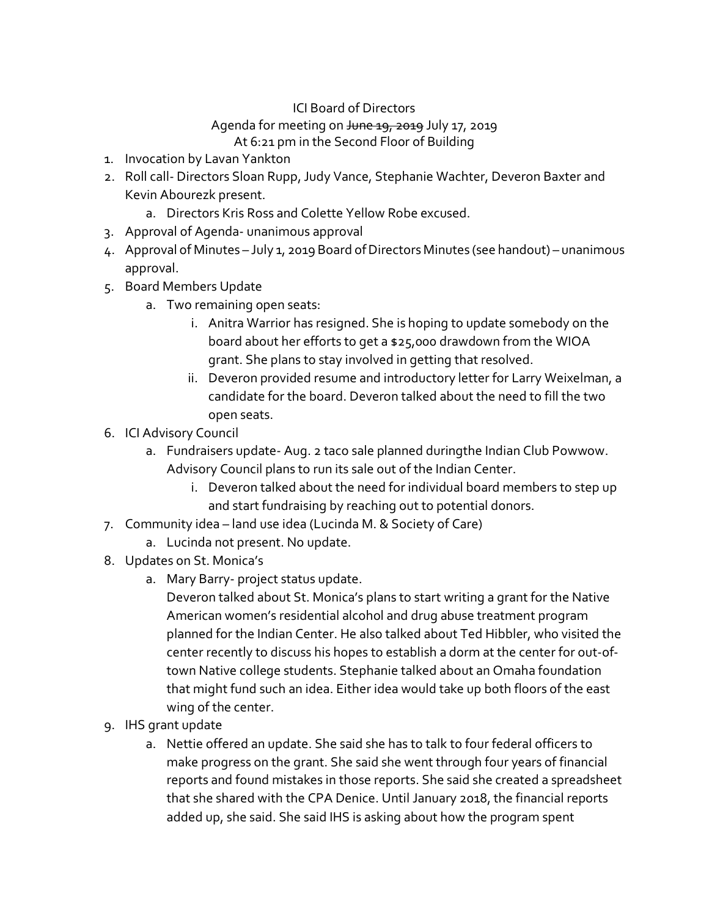## ICI Board of Directors

## Agenda for meeting on June 19, 2019 July 17, 2019

## At 6:21 pm in the Second Floor of Building

- 1. Invocation by Lavan Yankton
- 2. Roll call- Directors Sloan Rupp, Judy Vance, Stephanie Wachter, Deveron Baxter and Kevin Abourezk present.
	- a. Directors Kris Ross and Colette Yellow Robe excused.
- 3. Approval of Agenda- unanimous approval
- 4. Approval of Minutes July 1, 2019 Board of Directors Minutes (see handout) unanimous approval.
- 5. Board Members Update
	- a. Two remaining open seats:
		- i. Anitra Warrior has resigned. She is hoping to update somebody on the board about her efforts to get a \$25,000 drawdown from the WIOA grant. She plans to stay involved in getting that resolved.
		- ii. Deveron provided resume and introductory letter for Larry Weixelman, a candidate for the board. Deveron talked about the need to fill the two open seats.
- 6. ICI Advisory Council
	- a. Fundraisers update- Aug. 2 taco sale planned duringthe Indian Club Powwow. Advisory Council plans to run its sale out of the Indian Center.
		- i. Deveron talked about the need for individual board members to step up and start fundraising by reaching out to potential donors.
- 7. Community idea land use idea (Lucinda M. & Society of Care)
	- a. Lucinda not present. No update.
- 8. Updates on St. Monica's
	- a. Mary Barry- project status update.

Deveron talked about St. Monica's plans to start writing a grant for the Native American women's residential alcohol and drug abuse treatment program planned for the Indian Center. He also talked about Ted Hibbler, who visited the center recently to discuss his hopes to establish a dorm at the center for out-oftown Native college students. Stephanie talked about an Omaha foundation that might fund such an idea. Either idea would take up both floors of the east wing of the center.

- 9. IHS grant update
	- a. Nettie offered an update. She said she has to talk to four federal officers to make progress on the grant. She said she went through four years of financial reports and found mistakes in those reports. She said she created a spreadsheet that she shared with the CPA Denice. Until January 2018, the financial reports added up, she said. She said IHS is asking about how the program spent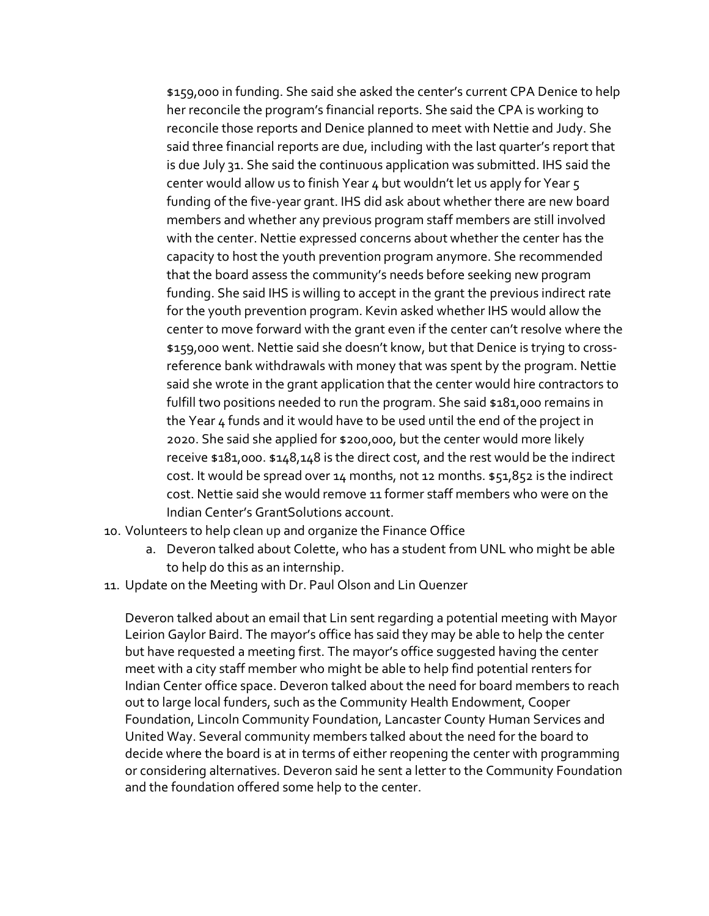\$159,000 in funding. She said she asked the center's current CPA Denice to help her reconcile the program's financial reports. She said the CPA is working to reconcile those reports and Denice planned to meet with Nettie and Judy. She said three financial reports are due, including with the last quarter's report that is due July 31. She said the continuous application was submitted. IHS said the center would allow us to finish Year 4 but wouldn't let us apply for Year 5 funding of the five-year grant. IHS did ask about whether there are new board members and whether any previous program staff members are still involved with the center. Nettie expressed concerns about whether the center has the capacity to host the youth prevention program anymore. She recommended that the board assess the community's needs before seeking new program funding. She said IHS is willing to accept in the grant the previous indirect rate for the youth prevention program. Kevin asked whether IHS would allow the center to move forward with the grant even if the center can't resolve where the \$159,000 went. Nettie said she doesn't know, but that Denice is trying to crossreference bank withdrawals with money that was spent by the program. Nettie said she wrote in the grant application that the center would hire contractors to fulfill two positions needed to run the program. She said \$181,000 remains in the Year 4 funds and it would have to be used until the end of the project in 2020. She said she applied for \$200,000, but the center would more likely receive \$181,000. \$148,148 is the direct cost, and the rest would be the indirect cost. It would be spread over  $14$  months, not  $12$  months.  $$51,852$  is the indirect cost. Nettie said she would remove 11 former staff members who were on the Indian Center's GrantSolutions account.

- 10. Volunteers to help clean up and organize the Finance Office
	- a. Deveron talked about Colette, who has a student from UNL who might be able to help do this as an internship.
- 11. Update on the Meeting with Dr. Paul Olson and Lin Quenzer

Deveron talked about an email that Lin sent regarding a potential meeting with Mayor Leirion Gaylor Baird. The mayor's office has said they may be able to help the center but have requested a meeting first. The mayor's office suggested having the center meet with a city staff member who might be able to help find potential renters for Indian Center office space. Deveron talked about the need for board members to reach out to large local funders, such as the Community Health Endowment, Cooper Foundation, Lincoln Community Foundation, Lancaster County Human Services and United Way. Several community members talked about the need for the board to decide where the board is at in terms of either reopening the center with programming or considering alternatives. Deveron said he sent a letter to the Community Foundation and the foundation offered some help to the center.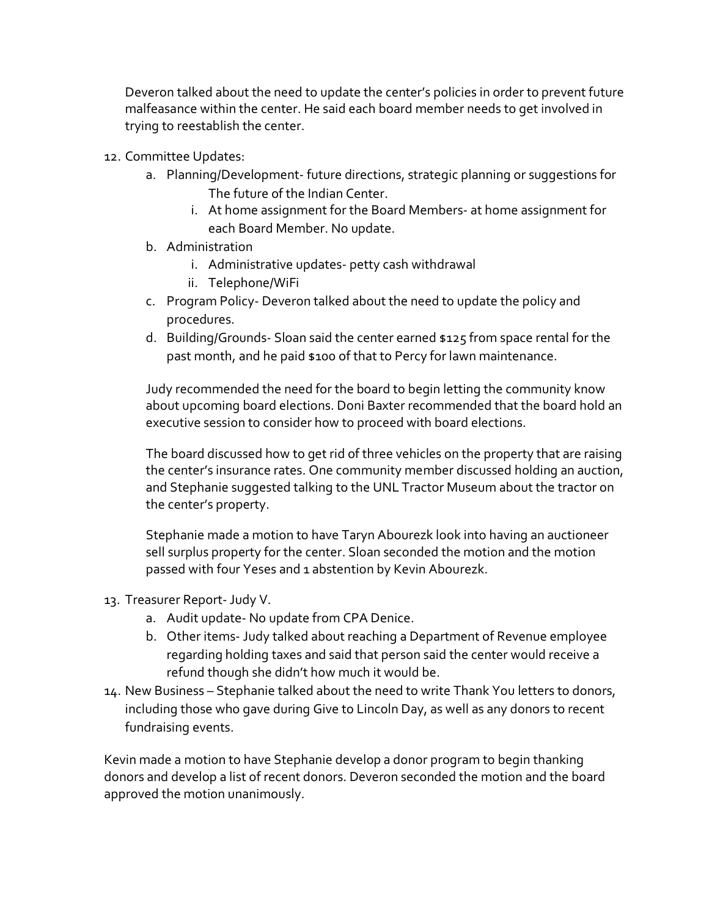Deveron talked about the need to update the center's policies in order to prevent future malfeasance within the center. He said each board member needs to get involved in trying to reestablish the center.

- 12. Committee Updates:
	- a. Planning/Development- future directions, strategic planning or suggestions for The future of the Indian Center.
		- i. At home assignment for the Board Members- at home assignment for each Board Member. No update.
	- b. Administration
		- i. Administrative updates- petty cash withdrawal
		- ii. Telephone/WiFi
	- c. Program Policy- Deveron talked about the need to update the policy and procedures.
	- d. Building/Grounds- Sloan said the center earned \$125 from space rental for the past month, and he paid \$100 of that to Percy for lawn maintenance.

Judy recommended the need for the board to begin letting the community know about upcoming board elections. Doni Baxter recommended that the board hold an executive session to consider how to proceed with board elections.

The board discussed how to get rid of three vehicles on the property that are raising the center's insurance rates. One community member discussed holding an auction, and Stephanie suggested talking to the UNL Tractor Museum about the tractor on the center's property.

Stephanie made a motion to have Taryn Abourezk look into having an auctioneer sell surplus property for the center. Sloan seconded the motion and the motion passed with four Yeses and 1 abstention by Kevin Abourezk.

- 13. Treasurer Report-Judy V.
	- a. Audit update- No update from CPA Denice.
	- b. Other items- Judy talked about reaching a Department of Revenue employee regarding holding taxes and said that person said the center would receive a refund though she didn't how much it would be.
- 14. New Business Stephanie talked about the need to write Thank You letters to donors, including those who gave during Give to Lincoln Day, as well as any donors to recent fundraising events.

Kevin made a motion to have Stephanie develop a donor program to begin thanking donors and develop a list of recent donors. Deveron seconded the motion and the board approved the motion unanimously.